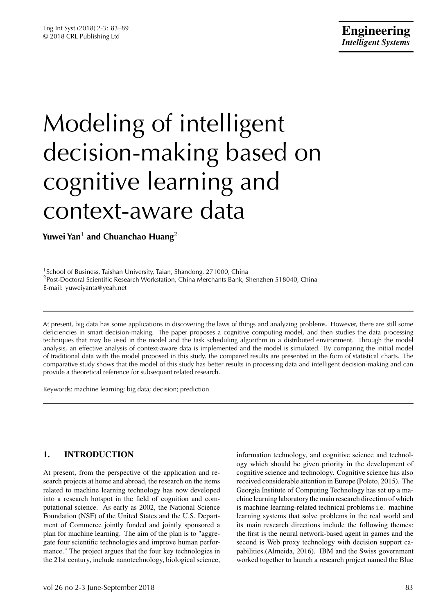# Modeling of intelligent decision-making based on cognitive learning and context-aware data

**Yuwei Yan**<sup>1</sup> **and Chuanchao Huang**<sup>2</sup>

<sup>1</sup>School of Business, Taishan University, Taian, Shandong, 271000, China <sup>2</sup>Post-Doctoral Scientific Research Workstation, China Merchants Bank, Shenzhen 518040, China E-mail: yuweiyanta@yeah.net

At present, big data has some applications in discovering the laws of things and analyzing problems. However, there are still some deficiencies in smart decision-making. The paper proposes a cognitive computing model, and then studies the data processing techniques that may be used in the model and the task scheduling algorithm in a distributed environment. Through the model analysis, an effective analysis of context-aware data is implemented and the model is simulated. By comparing the initial model of traditional data with the model proposed in this study, the compared results are presented in the form of statistical charts. The comparative study shows that the model of this study has better results in processing data and intelligent decision-making and can provide a theoretical reference for subsequent related research.

Keywords: machine learning; big data; decision; prediction

# **1. INTRODUCTION**

At present, from the perspective of the application and research projects at home and abroad, the research on the items related to machine learning technology has now developed into a research hotspot in the field of cognition and computational science. As early as 2002, the National Science Foundation (NSF) of the United States and the U.S. Department of Commerce jointly funded and jointly sponsored a plan for machine learning. The aim of the plan is to "aggregate four scientific technologies and improve human performance." The project argues that the four key technologies in the 21st century, include nanotechnology, biological science, information technology, and cognitive science and technology which should be given priority in the development of cognitive science and technology. Cognitive science has also received considerable attention in Europe (Poleto, 2015). The Georgia Institute of Computing Technology has set up a machine learning laboratory the main research direction of which is machine learning-related technical problems i.e. machine learning systems that solve problems in the real world and its main research directions include the following themes: the first is the neural network-based agent in games and the second is Web proxy technology with decision support capabilities.(Almeida, 2016). IBM and the Swiss government worked together to launch a research project named the Blue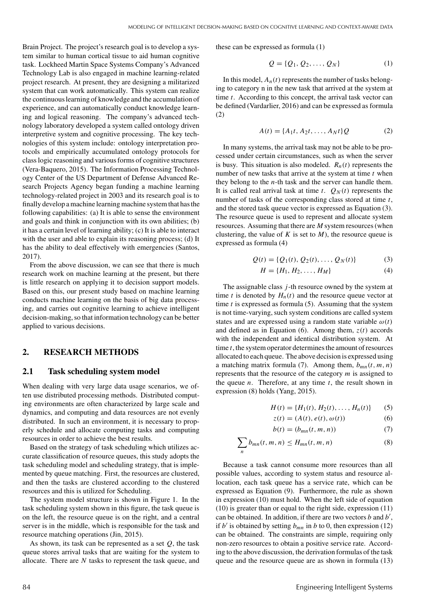Brain Project. The project's research goal is to develop a system similar to human cortical tissue to aid human cognitive task. Lockheed Martin Space Systems Company's Advanced Technology Lab is also engaged in machine learning-related project research. At present, they are designing a militarized system that can work automatically. This system can realize the continuouslearning of knowledge and the accumulation of experience, and can automatically conduct knowledge learning and logical reasoning. The company's advanced technology laboratory developed a system called ontology driven interpretive system and cognitive processing. The key technologies of this system include: ontology interpretation protocols and empirically accumulated ontology protocols for class logic reasoning and various forms of cognitive structures (Vera-Baquero, 2015). The Information Processing Technology Center of the US Department of Defense Advanced Research Projects Agency began funding a machine learning technology-related project in 2003 and its research goal is to finally develop a machine learning machine system that has the following capabilities: (a) It is able to sense the environment and goals and think in conjunction with its own abilities; (b) it has a certain level of learning ability; (c) It is able to interact with the user and able to explain its reasoning process; (d) It has the ability to deal effectively with emergencies (Santos, 2017).

From the above discussion, we can see that there is much research work on machine learning at the present, but there is little research on applying it to decision support models. Based on this, our present study based on machine learning conducts machine learning on the basis of big data processing, and carries out cognitive learning to achieve intelligent decision-making, so that information technology can be better applied to various decisions.

#### **2. RESEARCH METHODS**

#### **2.1 Task scheduling system model**

When dealing with very large data usage scenarios, we often use distributed processing methods. Distributed computing environments are often characterized by large scale and dynamics, and computing and data resources are not evenly distributed. In such an environment, it is necessary to properly schedule and allocate computing tasks and computing resources in order to achieve the best results.

Based on the strategy of task scheduling which utilizes accurate classification of resource queues, this study adopts the task scheduling model and scheduling strategy, that is implemented by queue matching. First, the resources are clustered, and then the tasks are clustered according to the clustered resources and this is utilized for Scheduling.

The system model structure is shown in Figure 1. In the task scheduling system shown in this figure, the task queue is on the left, the resource queue is on the right, and a central server is in the middle, which is responsible for the task and resource matching operations (Jin, 2015).

As shown, its task can be represented as a set *Q*, the task queue stores arrival tasks that are waiting for the system to allocate. There are *N* tasks to represent the task queue, and these can be expressed as formula (1)

$$
Q = \{Q_1, Q_2, \dots, Q_N\} \tag{1}
$$

In this model,  $A_n(t)$  represents the number of tasks belonging to category n in the new task that arrived at the system at time *t*. According to this concept, the arrival task vector can be defined (Vardarlier, 2016) and can be expressed as formula (2)

$$
A(t) = \{A_1t, A_2t, \dots, A_Nt\}Q
$$
 (2)

In many systems, the arrival task may not be able to be processed under certain circumstances, such as when the server is busy. This situation is also modeled.  $R_n(t)$  represents the number of new tasks that arrive at the system at time *t* when they belong to the *n*-th task and the server can handle them. It is called real arrival task at time  $t$ .  $Q_N(t)$  represents the number of tasks of the corresponding class stored at time *t*, and the stored task queue vector is expressed as Equation (3). The resource queue is used to represent and allocate system resources. Assuming that there are *M* system resources (when clustering, the value of  $K$  is set to  $M$ ), the resource queue is expressed as formula (4)

$$
Q(t) = \{Q_1(t), Q_2(t), \dots, Q_N(t)\}\tag{3}
$$

$$
H = \{H_1, H_2, \dots, H_M\} \tag{4}
$$

The assignable class *j*-th resource owned by the system at time *t* is denoted by  $H_n(t)$  and the resource queue vector at time *t* is expressed as formula (5). Assuming that the system is not time-varying, such system conditions are called system states and are expressed using a random state variable  $\omega(t)$ and defined as in Equation (6). Among them,  $z(t)$  accords with the independent and identical distribution system. At time *t*, the system operator determines the amount of resources allocated to each queue. The above decision is expressed using a matching matrix formula (7). Among them,  $b_{mn}(t, m, n)$ represents that the resource of the category *m* is assigned to the queue *n*. Therefore, at any time *t*, the result shown in expression (8) holds (Yang, 2015).

$$
H(t) = \{H_1(t), H_2(t), \dots, H_n(t)\} \qquad (5)
$$

$$
z(t) = (A(t), e(t), \omega(t))
$$
 (6)

$$
b(t) = (b_{mn}(t, m, n))
$$
\n(7)

$$
\sum_{n} b_{mn}(t, m, n) \le H_{mn}(t, m, n) \tag{8}
$$

Because a task cannot consume more resources than all possible values, according to system status and resource allocation, each task queue has a service rate, which can be expressed as Equation (9). Furthermore, the rule as shown in expression (10) must hold. When the left side of equation (10) is greater than or equal to the right side, expression (11) can be obtained. In addition, if there are two vectors *b* and *b* , if  $b'$  is obtained by setting  $b_{mn}$  in  $b$  to 0, then expression (12) can be obtained. The constraints are simple, requiring only non-zero resources to obtain a positive service rate. According to the above discussion, the derivation formulas of the task queue and the resource queue are as shown in formula (13)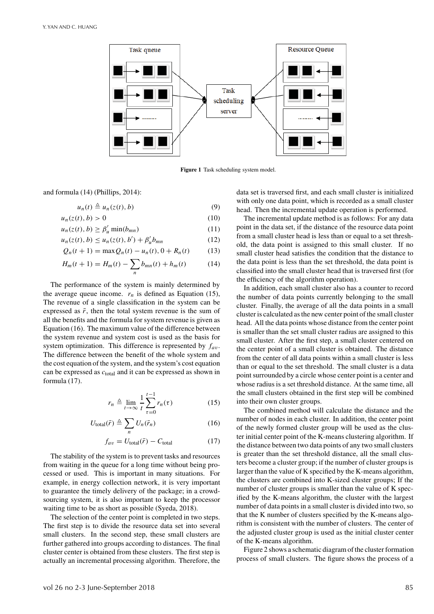

**Figure 1** Task scheduling system model.

and formula (14) (Phillips, 2014):

 $u_n(t) \triangleq u_n(z(t), b)$  (9)

$$
u_n(z(t),b) > 0 \tag{10}
$$

$$
u_n(z(t), b) \ge \beta'_u \min(b_{mn})
$$
\n(11)

$$
u_n(z(t), b) \le u_n(z(t), b') + \beta'_u b_{mn}
$$
 (12)

$$
Q_n(t+1) = \max Q_n(t) - u_n(t), 0 + R_n(t) \tag{13}
$$

$$
H_m(t+1) = H_m(t) - \sum_n b_{mn}(t) + h_m(t)
$$
 (14)

The performance of the system is mainly determined by the average queue income.  $r_n$  is defined as Equation (15), The revenue of a single classification in the system can be expressed as  $\bar{r}$ , then the total system revenue is the sum of all the benefits and the formula for system revenue is given as Equation (16). The maximum value of the difference between the system revenue and system cost is used as the basis for system optimization. This difference is represented by *fa*v. The difference between the benefit of the whole system and the cost equation of the system, and the system's cost equation can be expressed as *c*total and it can be expressed as shown in formula (17).

$$
r_n \triangleq \lim_{t \to \infty} \frac{1}{t} \sum_{\tau=0}^{t-1} r_n(\tau) \tag{15}
$$

$$
U_{\text{total}}(\bar{r}) \triangleq \sum_{n} U_{n}(\bar{r}_{n}) \tag{16}
$$

$$
f_{av} = U_{\text{total}}(\bar{r}) - C_{\text{total}} \tag{17}
$$

The stability of the system is to prevent tasks and resources from waiting in the queue for a long time without being processed or used. This is important in many situations. For example, in energy collection network, it is very important to guarantee the timely delivery of the package; in a crowdsourcing system, it is also important to keep the processor waiting time to be as short as possible (Syeda, 2018).

The selection of the center point is completed in two steps. The first step is to divide the resource data set into several small clusters. In the second step, these small clusters are further gathered into groups according to distances. The final cluster center is obtained from these clusters. The first step is actually an incremental processing algorithm. Therefore, the data set is traversed first, and each small cluster is initialized with only one data point, which is recorded as a small cluster head. Then the incremental update operation is performed.

The incremental update method is as follows: For any data point in the data set, if the distance of the resource data point from a small cluster head is less than or equal to a set threshold, the data point is assigned to this small cluster. If no small cluster head satisfies the condition that the distance to the data point is less than the set threshold, the data point is classified into the small cluster head that is traversed first (for the efficiency of the algorithm operation).

In addition, each small cluster also has a counter to record the number of data points currently belonging to the small cluster. Finally, the average of all the data points in a small cluster is calculated as the new center point of the small cluster head. All the data points whose distance from the center point is smaller than the set small cluster radius are assigned to this small cluster. After the first step, a small cluster centered on the center point of a small cluster is obtained. The distance from the center of all data points within a small cluster is less than or equal to the set threshold. The small cluster is a data point surrounded by a circle whose center point is a center and whose radius is a set threshold distance. At the same time, all the small clusters obtained in the first step will be combined into their own cluster groups.

The combined method will calculate the distance and the number of nodes in each cluster. In addition, the center point of the newly formed cluster group will be used as the cluster initial center point of the K-means clustering algorithm. If the distance between two data points of any two small clusters is greater than the set threshold distance, all the small clusters become a cluster group; if the number of cluster groups is larger than the value of K specified by the K-means algorithm, the clusters are combined into K-sized cluster groups; If the number of cluster groups is smaller than the value of K specified by the K-means algorithm, the cluster with the largest number of data points in a small cluster is divided into two, so that the K number of clusters specified by the K-means algorithm is consistent with the number of clusters. The center of the adjusted cluster group is used as the initial cluster center of the K-means algorithm.

Figure 2 shows a schematic diagram of the cluster formation process of small clusters. The figure shows the process of a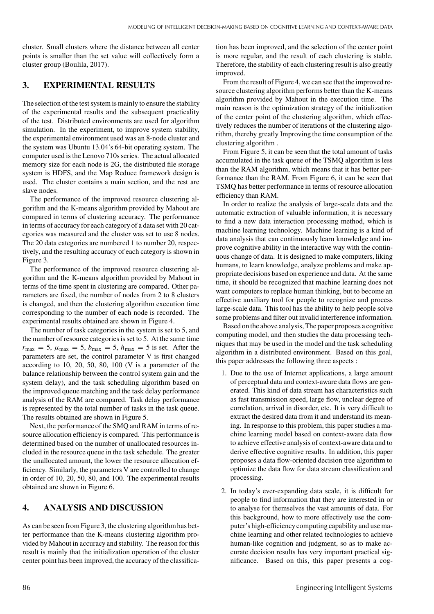cluster. Small clusters where the distance between all center points is smaller than the set value will collectively form a cluster group (Boulila, 2017).

#### **3. EXPERIMENTAL RESULTS**

The selection of the test system is mainly to ensure the stability of the experimental results and the subsequent practicality of the test. Distributed environments are used for algorithm simulation. In the experiment, to improve system stability, the experimental environment used was an 8-node cluster and the system was Ubuntu 13.04's 64-bit operating system. The computer used is the Lenovo 710s series. The actual allocated memory size for each node is 2G, the distributed file storage system is HDFS, and the Map Reduce framework design is used. The cluster contains a main section, and the rest are slave nodes.

The performance of the improved resource clustering algorithm and the K-means algorithm provided by Mahout are compared in terms of clustering accuracy. The performance in terms of accuracy for each category of a data set with 20 categories was measured and the cluster was set to use 8 nodes. The 20 data categories are numbered 1 to number 20, respectively, and the resulting accuracy of each category is shown in Figure 3.

The performance of the improved resource clustering algorithm and the K-means algorithm provided by Mahout in terms of the time spent in clustering are compared. Other parameters are fixed, the number of nodes from 2 to 8 clusters is changed, and then the clustering algorithm execution time corresponding to the number of each node is recorded. The experimental results obtained are shown in Figure 4.

The number of task categories in the system is set to 5, and the number of resource categories is set to 5. At the same time  $r_{\text{max}} = 5$ ,  $\mu_{\text{max}} = 5$ ,  $b_{\text{max}} = 5$ ,  $h_{\text{max}} = 5$  is set. After the parameters are set, the control parameter V is first changed according to 10, 20, 50, 80, 100 (V is a parameter of the balance relationship between the control system gain and the system delay), and the task scheduling algorithm based on the improved queue matching and the task delay performance analysis of the RAM are compared. Task delay performance is represented by the total number of tasks in the task queue. The results obtained are shown in Figure 5.

Next, the performance of the SMQ and RAM in terms of resource allocation efficiency is compared. This performance is determined based on the number of unallocated resources included in the resource queue in the task schedule. The greater the unallocated amount, the lower the resource allocation efficiency. Similarly, the parameters V are controlled to change in order of 10, 20, 50, 80, and 100. The experimental results obtained are shown in Figure 6.

#### **4. ANALYSIS AND DISCUSSION**

As can be seen from Figure 3, the clustering algorithm has better performance than the K-means clustering algorithm provided by Mahout in accuracy and stability. The reason for this result is mainly that the initialization operation of the cluster center point has been improved, the accuracy of the classification has been improved, and the selection of the center point is more regular, and the result of each clustering is stable. Therefore, the stability of each clustering result is also greatly improved.

From the result of Figure 4, we can see that the improved resource clustering algorithm performs better than the K-means algorithm provided by Mahout in the execution time. The main reason is the optimization strategy of the initialization of the center point of the clustering algorithm, which effectively reduces the number of iterations of the clustering algorithm, thereby greatly Improving the time consumption of the clustering algorithm .

From Figure 5, it can be seen that the total amount of tasks accumulated in the task queue of the TSMQ algorithm is less than the RAM algorithm, which means that it has better performance than the RAM. From Figure 6, it can be seen that TSMQ has better performance in terms of resource allocation efficiency than RAM.

In order to realize the analysis of large-scale data and the automatic extraction of valuable information, it is necessary to find a new data interaction processing method, which is machine learning technology. Machine learning is a kind of data analysis that can continuously learn knowledge and improve cognitive ability in the interactive way with the continuous change of data. It is designed to make computers, liking humans, to learn knowledge, analyze problems and make appropriate decisions based on experience and data. At the same time, it should be recognized that machine learning does not want computers to replace human thinking, but to become an effective auxiliary tool for people to recognize and process large-scale data. This tool has the ability to help people solve some problems and filter out invalid interference information.

Based on the above analysis, The paper proposes a cognitive computing model, and then studies the data processing techniques that may be used in the model and the task scheduling algorithm in a distributed environment. Based on this goal, this paper addresses the following three aspects :

- 1. Due to the use of Internet applications, a large amount of perceptual data and context-aware data flows are generated. This kind of data stream has characteristics such as fast transmission speed, large flow, unclear degree of correlation, arrival in disorder, etc. It is very difficult to extract the desired data from it and understand its meaning. In response to this problem, this paper studies a machine learning model based on context-aware data flow to achieve effective analysis of context-aware data and to derive effective cognitive results. In addition, this paper proposes a data flow-oriented decision tree algorithm to optimize the data flow for data stream classification and processing.
- 2. In today's ever-expanding data scale, it is difficult for people to find information that they are interested in or to analyse for themselves the vast amounts of data. For this background, how to more effectively use the computer's high-efficiency computing capability and use machine learning and other related technologies to achieve human-like cognition and judgment, so as to make accurate decision results has very important practical significance. Based on this, this paper presents a cog-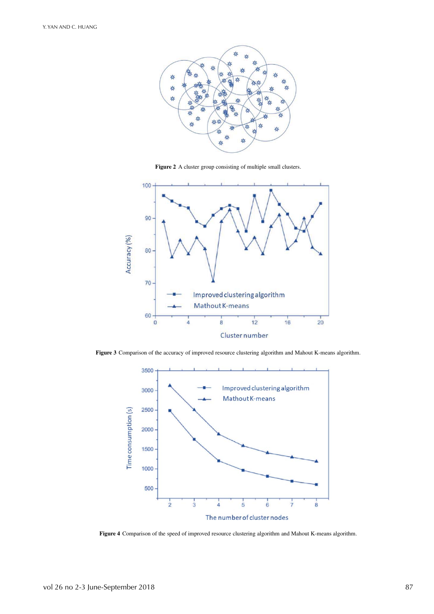

**Figure 2** A cluster group consisting of multiple small clusters.



**Figure 3** Comparison of the accuracy of improved resource clustering algorithm and Mahout K-means algorithm.



**Figure 4** Comparison of the speed of improved resource clustering algorithm and Mahout K-means algorithm.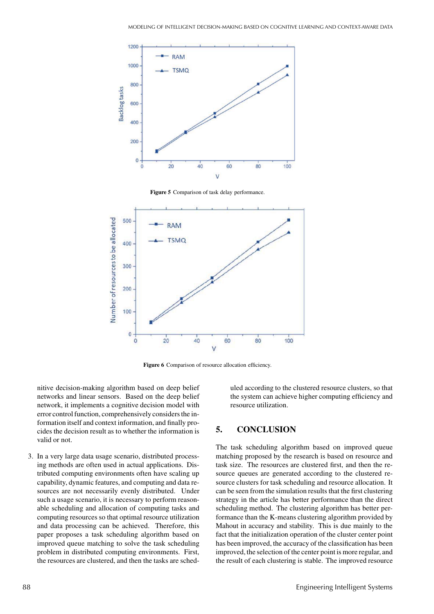

**Figure 5** Comparison of task delay performance.



Figure 6 Comparison of resource allocation efficiency.

nitive decision-making algorithm based on deep belief networks and linear sensors. Based on the deep belief network, it implements a cognitive decision model with error control function, comprehensively considers the information itself and context information, and finally procides the decision result as to whether the information is valid or not.

3. In a very large data usage scenario, distributed processing methods are often used in actual applications. Distributed computing environments often have scaling up capability, dynamic features, and computing and data resources are not necessarily evenly distributed. Under such a usage scenario, it is necessary to perform reasonable scheduling and allocation of computing tasks and computing resources so that optimal resource utilization and data processing can be achieved. Therefore, this paper proposes a task scheduling algorithm based on improved queue matching to solve the task scheduling problem in distributed computing environments. First, the resources are clustered, and then the tasks are scheduled according to the clustered resource clusters, so that the system can achieve higher computing efficiency and resource utilization.

## **5. CONCLUSION**

The task scheduling algorithm based on improved queue matching proposed by the research is based on resource and task size. The resources are clustered first, and then the resource queues are generated according to the clustered resource clusters for task scheduling and resource allocation. It can be seen from the simulation results that the first clustering strategy in the article has better performance than the direct scheduling method. The clustering algorithm has better performance than the K-means clustering algorithm provided by Mahout in accuracy and stability. This is due mainly to the fact that the initialization operation of the cluster center point has been improved, the accuracy of the classification has been improved, the selection of the center point is more regular, and the result of each clustering is stable. The improved resource